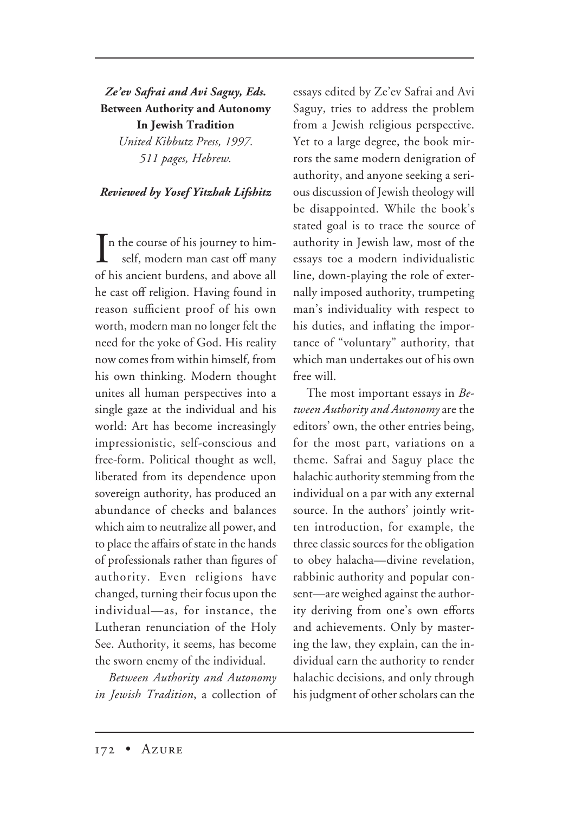*Ze'ev Safrai and Avi Saguy, Eds.* **Between Authority and Autonomy In Jewish Tradition** *United Kibbutz Press, 1997. 511 pages, Hebrew.*

## *Reviewed by Yosef Yitzhak Lifshitz*

 $\prod$ n the course of his journey to him-<br>self, modern man cast off many self, modern man cast off many of his ancient burdens, and above all he cast off religion. Having found in reason sufficient proof of his own worth, modern man no longer felt the need for the yoke of God. His reality now comes from within himself, from his own thinking. Modern thought unites all human perspectives into a single gaze at the individual and his world: Art has become increasingly impressionistic, self-conscious and free-form. Political thought as well, liberated from its dependence upon sovereign authority, has produced an abundance of checks and balances which aim to neutralize all power, and to place the affairs of state in the hands of professionals rather than figures of authority. Even religions have changed, turning their focus upon the individual—as, for instance, the Lutheran renunciation of the Holy See. Authority, it seems, has become the sworn enemy of the individual.

*Between Authority and Autonomy in Jewish Tradition*, a collection of essays edited by Ze'ev Safrai and Avi Saguy, tries to address the problem from a Jewish religious perspective. Yet to a large degree, the book mirrors the same modern denigration of authority, and anyone seeking a serious discussion of Jewish theology will be disappointed. While the book's stated goal is to trace the source of authority in Jewish law, most of the essays toe a modern individualistic line, down-playing the role of externally imposed authority, trumpeting man's individuality with respect to his duties, and inflating the importance of "voluntary" authority, that which man undertakes out of his own free will.

The most important essays in *Between Authority and Autonomy* are the editors' own, the other entries being, for the most part, variations on a theme. Safrai and Saguy place the halachic authority stemming from the individual on a par with any external source. In the authors' jointly written introduction, for example, the three classic sources for the obligation to obey halacha—divine revelation, rabbinic authority and popular consent—are weighed against the authority deriving from one's own efforts and achievements. Only by mastering the law, they explain, can the individual earn the authority to render halachic decisions, and only through his judgment of other scholars can the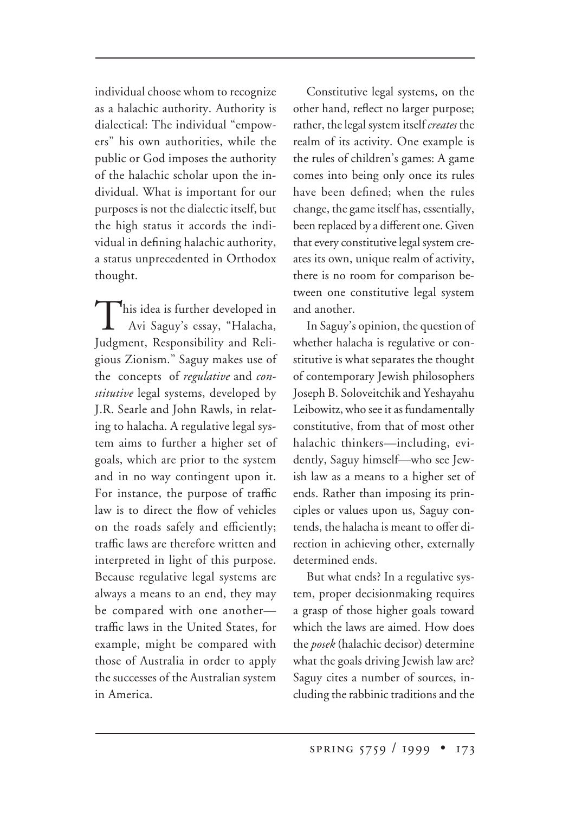individual choose whom to recognize as a halachic authority. Authority is dialectical: The individual "empowers" his own authorities, while the public or God imposes the authority of the halachic scholar upon the individual. What is important for our purposes is not the dialectic itself, but the high status it accords the individual in defining halachic authority, a status unprecedented in Orthodox thought.

This idea is further developed in Avi Saguy's essay, "Halacha, Judgment, Responsibility and Religious Zionism." Saguy makes use of the concepts of *regulative* and *constitutive* legal systems, developed by J.R. Searle and John Rawls, in relating to halacha. A regulative legal system aims to further a higher set of goals, which are prior to the system and in no way contingent upon it. For instance, the purpose of traffic law is to direct the flow of vehicles on the roads safely and efficiently; traffic laws are therefore written and interpreted in light of this purpose. Because regulative legal systems are always a means to an end, they may be compared with one another traffic laws in the United States, for example, might be compared with those of Australia in order to apply the successes of the Australian system in America.

Constitutive legal systems, on the other hand, reflect no larger purpose; rather, the legal system itself *creates* the realm of its activity. One example is the rules of children's games: A game comes into being only once its rules have been defined; when the rules change, the game itself has, essentially, been replaced by a different one. Given that every constitutive legal system creates its own, unique realm of activity, there is no room for comparison between one constitutive legal system and another.

In Saguy's opinion, the question of whether halacha is regulative or constitutive is what separates the thought of contemporary Jewish philosophers Joseph B. Soloveitchik and Yeshayahu Leibowitz, who see it as fundamentally constitutive, from that of most other halachic thinkers—including, evidently, Saguy himself—who see Jewish law as a means to a higher set of ends. Rather than imposing its principles or values upon us, Saguy contends, the halacha is meant to offer direction in achieving other, externally determined ends.

But what ends? In a regulative system, proper decisionmaking requires a grasp of those higher goals toward which the laws are aimed. How does the *posek* (halachic decisor) determine what the goals driving Jewish law are? Saguy cites a number of sources, including the rabbinic traditions and the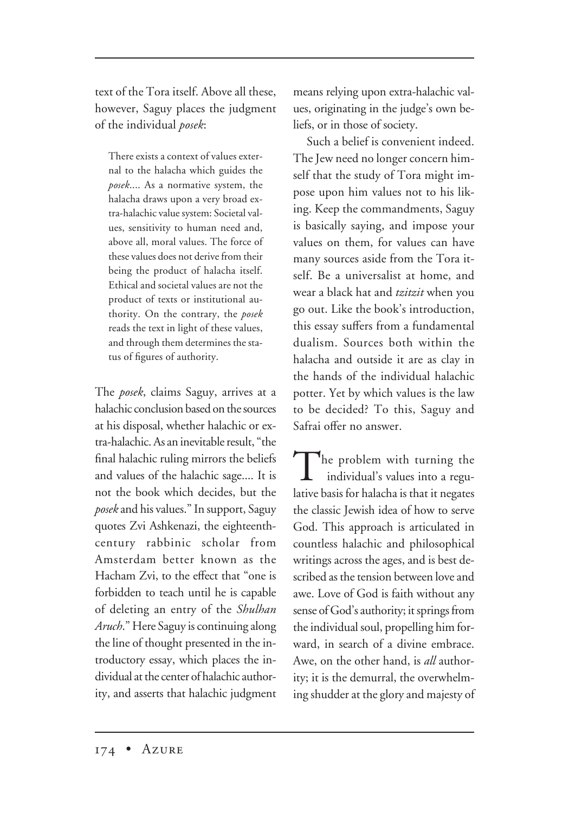text of the Tora itself. Above all these, however, Saguy places the judgment of the individual *posek*:

There exists a context of values external to the halacha which guides the *posek*.... As a normative system, the halacha draws upon a very broad extra-halachic value system: Societal values, sensitivity to human need and, above all, moral values. The force of these values does not derive from their being the product of halacha itself. Ethical and societal values are not the product of texts or institutional authority. On the contrary, the *posek* reads the text in light of these values, and through them determines the status of figures of authority.

The *posek*, claims Saguy, arrives at a halachic conclusion based on the sources at his disposal, whether halachic or extra-halachic. As an inevitable result, "the final halachic ruling mirrors the beliefs and values of the halachic sage.... It is not the book which decides, but the *posek* and his values." In support, Saguy quotes Zvi Ashkenazi, the eighteenthcentury rabbinic scholar from Amsterdam better known as the Hacham Zvi, to the effect that "one is forbidden to teach until he is capable of deleting an entry of the *Shulhan Aruch*." Here Saguy is continuing along the line of thought presented in the introductory essay, which places the individual at the center of halachic authority, and asserts that halachic judgment

means relying upon extra-halachic values, originating in the judge's own beliefs, or in those of society.

Such a belief is convenient indeed. The Jew need no longer concern himself that the study of Tora might impose upon him values not to his liking. Keep the commandments, Saguy is basically saying, and impose your values on them, for values can have many sources aside from the Tora itself. Be a universalist at home, and wear a black hat and *tzitzit* when you go out. Like the book's introduction, this essay suffers from a fundamental dualism. Sources both within the halacha and outside it are as clay in the hands of the individual halachic potter. Yet by which values is the law to be decided? To this, Saguy and Safrai offer no answer.

The problem with turning the individual's values into a regulative basis for halacha is that it negates the classic Jewish idea of how to serve God. This approach is articulated in countless halachic and philosophical writings across the ages, and is best described as the tension between love and awe. Love of God is faith without any sense of God's authority; it springs from the individual soul, propelling him forward, in search of a divine embrace. Awe, on the other hand, is *all* authority; it is the demurral, the overwhelming shudder at the glory and majesty of